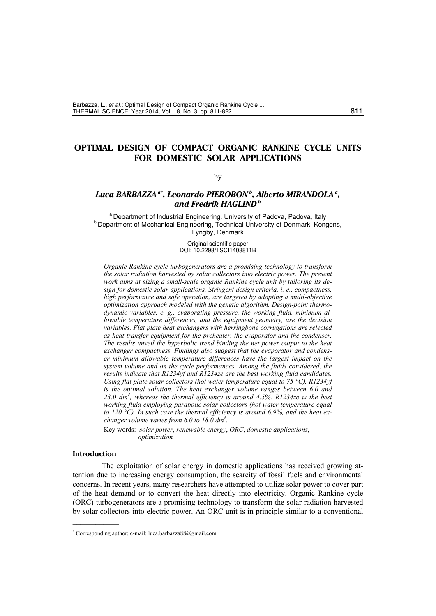# **OPTIMAL DESIGN OF COMPACT ORGANIC RANKINE CYCLE UNITS FOR DOMESTIC SOLAR APPLICATIONS**

### by

# *Luca BARBAZZA a\*, Leonardo PIEROBON b, Alberto MIRANDOLA a, and Fredrik HAGLIND b*

<sup>a</sup> Department of Industrial Engineering, University of Padova, Padova, Italy b Department of Mechanical Engineering, Technical University of Denmark, Kongens, Lyngby, Denmark

> Original scientific paper DOI: 10.2298/TSCI1403811B

*Organic Rankine cycle turbogenerators are a promising technology to transform the solar radiation harvested by solar collectors into electric power. The present work aims at sizing a small-scale organic Rankine cycle unit by tailoring its design for domestic solar applications. Stringent design criteria, i. e., compactness, high performance and safe operation, are targeted by adopting a multi-objective optimization approach modeled with the genetic algorithm. Design-point thermodynamic variables, e. g., evaporating pressure, the working fluid, minimum allowable temperature differences, and the equipment geometry, are the decision variables. Flat plate heat exchangers with herringbone corrugations are selected as heat transfer equipment for the preheater, the evaporator and the condenser. The results unveil the hyperbolic trend binding the net power output to the heat exchanger compactness. Findings also suggest that the evaporator and condenser minimum allowable temperature differences have the largest impact on the system volume and on the cycle performances. Among the fluids considered, the results indicate that R1234yf and R1234ze are the best working fluid candidates. Using flat plate solar collectors (hot water temperature equal to 75 °C), R1234yf is the optimal solution. The heat exchanger volume ranges between 6.0 and*  23.0  $dm^3$ , whereas the thermal efficiency is around  $4.5\%$ . R1234ze is the best *working fluid employing parabolic solar collectors (hot water temperature equal to 120 °C). In such case the thermal efficiency is around 6.9%, and the heat exchanger volume varies from 6.0 to 18.0 dm3 .* 

Key words: *solar power*, *renewable energy*, *ORC*, *domestic applications*, *optimization* 

## **Introduction**

––––––––––––

The exploitation of solar energy in domestic applications has received growing attention due to increasing energy consumption, the scarcity of fossil fuels and environmental concerns. In recent years, many researchers have attempted to utilize solar power to cover part of the heat demand or to convert the heat directly into electricity. Organic Rankine cycle (ORC) turbogenerators are a promising technology to transform the solar radiation harvested by solar collectors into electric power. An ORC unit is in principle similar to a conventional

<sup>\*</sup> Corresponding author; e-mail: luca.barbazza88@gmail.com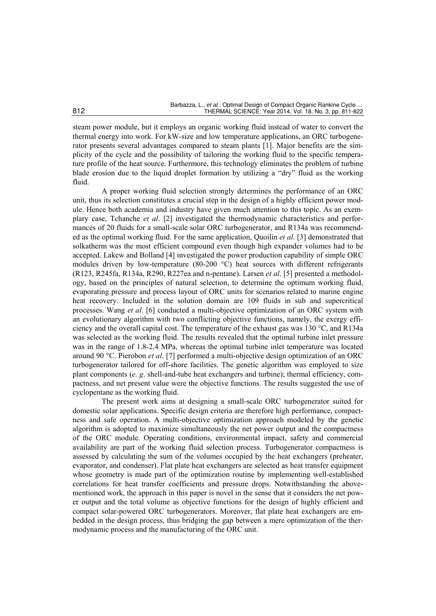steam power module, but it employs an organic working fluid instead of water to convert the thermal energy into work. For kW-size and low temperature applications, an ORC turbogenerator presents several advantages compared to steam plants [1]. Major benefits are the simplicity of the cycle and the possibility of tailoring the working fluid to the specific temperature profile of the heat source. Furthermore, this technology eliminates the problem of turbine blade erosion due to the liquid droplet formation by utilizing a "dry" fluid as the working fluid.

A proper working fluid selection strongly determines the performance of an ORC unit, thus its selection constitutes a crucial step in the design of a highly efficient power module. Hence both academia and industry have given much attention to this topic. As an exemplary case, Tchanche *et al*. [2] investigated the thermodynamic characteristics and performances of 20 fluids for a small-scale solar ORC turbogenerator, and R134a was recommended as the optimal working fluid. For the same application, Quoilin *et al*. [3] demonstrated that solkatherm was the most efficient compound even though high expander volumes had to be accepted. Lakew and Bolland [4] investigated the power production capability of simple ORC modules driven by low-temperature (80-200 °C) heat sources with different refrigerants (R123, R245fa, R134a, R290, R227ea and n-pentane). Larsen *et al*. [5] presented a methodology, based on the principles of natural selection, to determine the optimum working fluid, evaporating pressure and process layout of ORC units for scenarios related to marine engine heat recovery. Included in the solution domain are 109 fluids in sub and supercritical processes. Wang *et al*. [6] conducted a multi-objective optimization of an ORC system with an evolutionary algorithm with two conflicting objective functions, namely, the exergy efficiency and the overall capital cost. The temperature of the exhaust gas was 130 °C, and R134a was selected as the working fluid. The results revealed that the optimal turbine inlet pressure was in the range of 1.8-2.4 MPa, whereas the optimal turbine inlet temperature was located around 90 °C. Pierobon *et al*. [7] performed a multi-objective design optimization of an ORC turbogenerator tailored for off-shore facilities. The genetic algorithm was employed to size plant components (*e. g*. shell-and-tube heat exchangers and turbine); thermal efficiency, compactness, and net present value were the objective functions. The results suggested the use of cyclopentane as the working fluid.

The present work aims at designing a small-scale ORC turbogenerator suited for domestic solar applications. Specific design criteria are therefore high performance, compactness and safe operation. A multi-objective optimization approach modeled by the genetic algorithm is adopted to maximize simultaneously the net power output and the compactness of the ORC module. Operating conditions, environmental impact, safety and commercial availability are part of the working fluid selection process. Turbogenerator compactness is assessed by calculating the sum of the volumes occupied by the heat exchangers (preheater, evaporator, and condenser). Flat plate heat exchangers are selected as heat transfer equipment whose geometry is made part of the optimization routine by implementing well-established correlations for heat transfer coefficients and pressure drops. Notwithstanding the abovementioned work, the approach in this paper is novel in the sense that it considers the net power output and the total volume as objective functions for the design of highly efficient and compact solar-powered ORC turbogenerators. Moreover, flat plate heat exchangers are embedded in the design process, thus bridging the gap between a mere optimization of the thermodynamic process and the manufacturing of the ORC unit.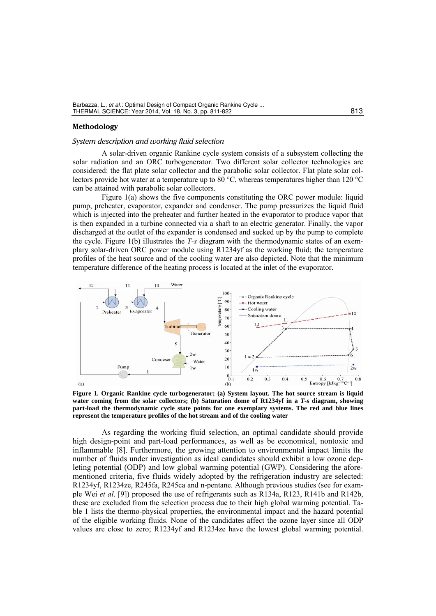### **Methodology**

#### *System description and working fluid selection*

A solar-driven organic Rankine cycle system consists of a subsystem collecting the solar radiation and an ORC turbogenerator. Two different solar collector technologies are considered: the flat plate solar collector and the parabolic solar collector. Flat plate solar collectors provide hot water at a temperature up to 80 °C, whereas temperatures higher than 120 °C can be attained with parabolic solar collectors.

Figure 1(a) shows the five components constituting the ORC power module: liquid pump, preheater, evaporator, expander and condenser. The pump pressurizes the liquid fluid which is injected into the preheater and further heated in the evaporator to produce vapor that is then expanded in a turbine connected via a shaft to an electric generator. Finally, the vapor discharged at the outlet of the expander is condensed and sucked up by the pump to complete the cycle. Figure 1(b) illustrates the *T-s* diagram with the thermodynamic states of an exemplary solar-driven ORC power module using R1234yf as the working fluid; the temperature profiles of the heat source and of the cooling water are also depicted. Note that the minimum temperature difference of the heating process is located at the inlet of the evaporator.



**Figure 1. Organic Rankine cycle turbogenerator; (a) System layout. The hot source stream is liquid water coming from the solar collectors; (b) Saturation dome of R1234yf in a** *T-s* **diagram, showing part-load the thermodynamic cycle state points for one exemplary systems. The red and blue lines represent the temperature profiles of the hot stream and of the cooling water** 

As regarding the working fluid selection, an optimal candidate should provide high design-point and part-load performances, as well as be economical, nontoxic and inflammable [8]. Furthermore, the growing attention to environmental impact limits the number of fluids under investigation as ideal candidates should exhibit a low ozone depleting potential (ODP) and low global warming potential (GWP). Considering the aforementioned criteria, five fluids widely adopted by the refrigeration industry are selected: R1234yf, R1234ze, R245fa, R245ca and n-pentane. Although previous studies (see for example Wei *et al*. [9]) proposed the use of refrigerants such as R134a, R123, R141b and R142b, these are excluded from the selection process due to their high global warming potential. Table 1 lists the thermo-physical properties, the environmental impact and the hazard potential of the eligible working fluids. None of the candidates affect the ozone layer since all ODP values are close to zero; R1234yf and R1234ze have the lowest global warming potential.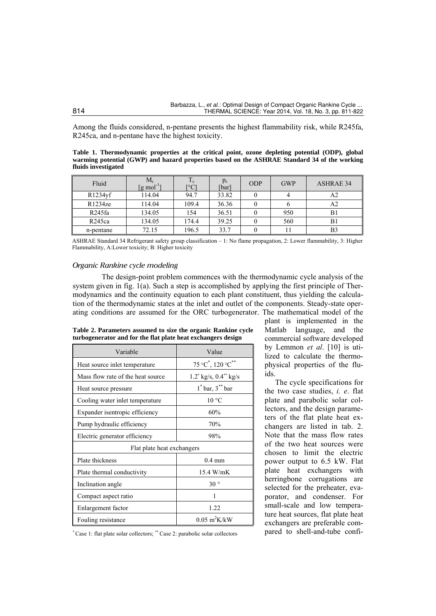Among the fluids considered, n-pentane presents the highest flammability risk, while R245fa, R245ca, and n-pentane have the highest toxicity.

**Table 1. Thermodynamic properties at the critical point, ozone depleting potential (ODP), global warming potential (GWP) and hazard properties based on the ASHRAE Standard 34 of the working fluids investigated**

| Fluid       | $\rm M_c$<br>[g mol <sup>-1</sup> | $\mathbf{T}$<br>$\mathbf{1}$ e<br>$C^{\circ}$ | $p_c$<br>[bar] | <b>ODP</b> | <b>GWP</b> | <b>ASHRAE 34</b> |
|-------------|-----------------------------------|-----------------------------------------------|----------------|------------|------------|------------------|
| $R1234\nuf$ | 114.04                            | 94.7                                          | 33.82          |            |            |                  |
| R1234ze     | 114.04                            | 109.4                                         | 36.36          |            |            | A2               |
| R245fa      | 134.05                            | 154                                           | 36.51          |            | 950        | ВI               |
| R245ca      | 134.05                            | 174.4                                         | 39.25          |            | 560        | B1               |
| n-pentane   | 72.15                             | 196.5                                         | 33.7           |            |            | B3               |

ASHRAE Standard 34 Refrigerant safety group classification – 1: No flame propagation, 2: Lower flammability, 3: Higher Flammability, A:Lower toxicity; B: Higher toxicity

# *Organic Rankine cycle modeling*

The design-point problem commences with the thermodynamic cycle analysis of the system given in fig. 1(a). Such a step is accomplished by applying the first principle of Thermodynamics and the continuity equation to each plant constituent, thus yielding the calculation of the thermodynamic states at the inlet and outlet of the components. Steady-state operating conditions are assumed for the ORC turbogenerator. The mathematical model of the

| Table 2. Parameters assumed to size the organic Rankine cycle |  |  |
|---------------------------------------------------------------|--|--|
| turbogenerator and for the flat plate heat exchangers design  |  |  |

| Variable                          | Value                                                        |  |  |  |
|-----------------------------------|--------------------------------------------------------------|--|--|--|
| Heat source inlet temperature     | $75^{\circ}$ C <sup>*</sup> , 120 $^{\circ}$ C <sup>**</sup> |  |  |  |
| Mass flow rate of the heat source | $1.2$ <sup>*</sup> kg/s, $0.4$ <sup>*</sup> kg/s             |  |  |  |
| Heat source pressure              | $1^*$ bar, $3^{**}$ bar                                      |  |  |  |
| Cooling water inlet temperature   | $10^{\circ}$ C                                               |  |  |  |
| Expander is entropic efficiency   | 60%                                                          |  |  |  |
| Pump hydraulic efficiency         | 70%                                                          |  |  |  |
| Electric generator efficiency     | 98%                                                          |  |  |  |
| Flat plate heat exchangers        |                                                              |  |  |  |
| Plate thickness                   | $0.4 \text{ mm}$                                             |  |  |  |
| Plate thermal conductivity        | 15.4 W/mK                                                    |  |  |  |
| Inclination angle                 | $30^{\circ}$                                                 |  |  |  |
| Compact aspect ratio              | 1                                                            |  |  |  |
| Enlargement factor                | 1.22                                                         |  |  |  |
| Fouling resistance                | $0.05 \text{ m}^2 \text{K} / \text{kW}$                      |  |  |  |

plant is implemented in the Matlab language, and the commercial software developed by Lemmon *et al*. [10] is utilized to calculate the thermophysical properties of the fluids.

The cycle specifications for the two case studies, *i. e*. flat plate and parabolic solar collectors, and the design parameters of the flat plate heat exchangers are listed in tab. 2. Note that the mass flow rates of the two heat sources were chosen to limit the electric power output to 6.5 kW. Flat plate heat exchangers with herringbone corrugations are selected for the preheater, evaporator, and condenser. For small-scale and low temperature heat sources, flat plate heat exchangers are preferable compared to shell-and-tube confi-

\* Case 1: flat plate solar collectors; \*\* Case 2: parabolic solar collectors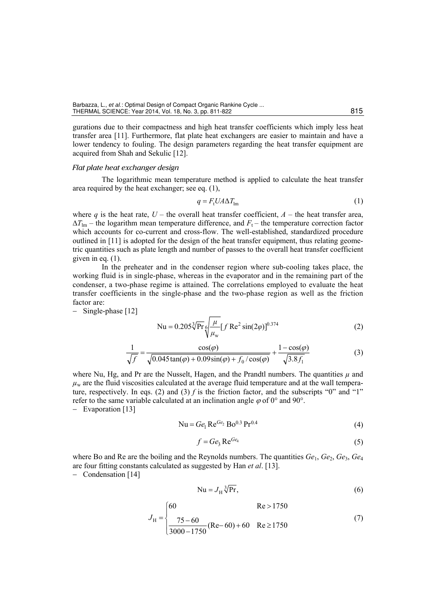gurations due to their compactness and high heat transfer coefficients which imply less heat transfer area [11]. Furthermore, flat plate heat exchangers are easier to maintain and have a lower tendency to fouling. The design parameters regarding the heat transfer equipment are acquired from Shah and Sekulic [12].

### *Flat plate heat exchanger design*

The logarithmic mean temperature method is applied to calculate the heat transfer area required by the heat exchanger; see eq. (1),

$$
q = F_{\rm t} U A \Delta T_{\rm lm} \tag{1}
$$

where *q* is the heat rate,  $U$  – the overall heat transfer coefficient,  $A$  – the heat transfer area,  $\Delta T_{lm}$  – the logarithm mean temperature difference, and  $F_t$  – the temperature correction factor which accounts for co-current and cross-flow. The well-established, standardized procedure outlined in [11] is adopted for the design of the heat transfer equipment, thus relating geometric quantities such as plate length and number of passes to the overall heat transfer coefficient given in eq. (1).

In the preheater and in the condenser region where sub-cooling takes place, the working fluid is in single-phase, whereas in the evaporator and in the remaining part of the condenser, a two-phase regime is attained. The correlations employed to evaluate the heat transfer coefficients in the single-phase and the two-phase region as well as the friction factor are:

− Single-phase [12]

$$
Nu = 0.205\sqrt[3]{Pr}\sqrt[6]{\frac{\mu}{\mu_w}}[fRe^2 \sin(2\varphi)]^{0.374}
$$
 (2)

$$
\frac{1}{\sqrt{f}} = \frac{\cos(\varphi)}{\sqrt{0.045\tan(\varphi) + 0.09\sin(\varphi) + f_0/\cos(\varphi)}} + \frac{1 - \cos(\varphi)}{\sqrt{3.8f_1}}
$$
(3)

where Nu, Hg, and Pr are the Nusselt, Hagen, and the Prandtl numbers. The quantities  $\mu$  and  $\mu_w$  are the fluid viscosities calculated at the average fluid temperature and at the wall temperature, respectively. In eqs. (2) and (3)  $f$  is the friction factor, and the subscripts "0" and "1" refer to the same variable calculated at an inclination angle  $\varphi$  of 0° and 90°.

− Evaporation [13]

$$
Nu = Ge1 ReGe2 Bo0.3 Pr0.4
$$
 (4)

$$
f = Ge_3 \operatorname{Re}^{Ge_4} \tag{5}
$$

where Bo and Re are the boiling and the Reynolds numbers. The quantities  $Ge_1$ ,  $Ge_2$ ,  $Ge_3$ ,  $Ge_4$ are four fitting constants calculated as suggested by Han *et al*. [13].

 $\epsilon$ 

− Condensation [14]

$$
Nu = J_H^3 \sqrt[3]{Pr},\tag{6}
$$

 $\mathbf{p} = 1750$ 

$$
J_{\rm H} = \begin{cases} 60 & \text{Re} > 1750 \\ \frac{75 - 60}{3000 - 1750} (\text{Re} - 60) + 60 & \text{Re} \ge 1750 \end{cases}
$$
(7)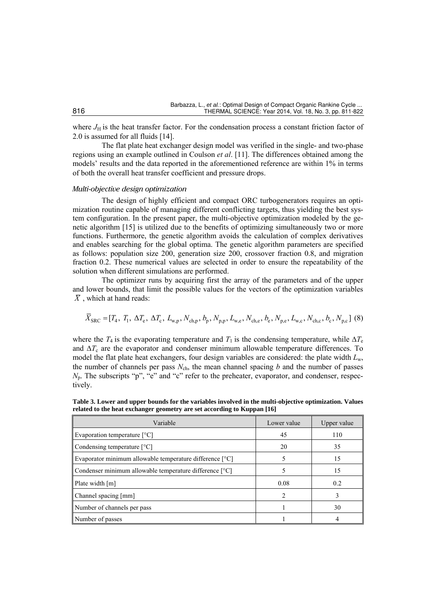where  $J_H$  is the heat transfer factor. For the condensation process a constant friction factor of 2.0 is assumed for all fluids [14].

The flat plate heat exchanger design model was verified in the single- and two-phase regions using an example outlined in Coulson *et al*. [11]. The differences obtained among the models' results and the data reported in the aforementioned reference are within 1% in terms of both the overall heat transfer coefficient and pressure drops.

## *Multi-objective design optimization*

The design of highly efficient and compact ORC turbogenerators requires an optimization routine capable of managing different conflicting targets, thus yielding the best system configuration. In the present paper, the multi-objective optimization modeled by the genetic algorithm [15] is utilized due to the benefits of optimizing simultaneously two or more functions. Furthermore, the genetic algorithm avoids the calculation of complex derivatives and enables searching for the global optima. The genetic algorithm parameters are specified as follows: population size 200, generation size 200, crossover fraction 0.8, and migration fraction 0.2. These numerical values are selected in order to ensure the repeatability of the solution when different simulations are performed.

The optimizer runs by acquiring first the array of the parameters and of the upper and lower bounds, that limit the possible values for the vectors of the optimization variables  $\overline{X}$ , which at hand reads:

$$
\overline{X}_{\text{SRC}} = [T_4, T_1, \Delta T_e, \Delta T_c, L_{w,p}, N_{\text{ch},p}, b_p, N_{p,p}, L_{w,e}, N_{\text{ch},e}, b_e, N_{p,e}, L_{w,c}, N_{\text{ch},c}, b_c, N_{p,c}] \tag{8}
$$

where the  $T_4$  is the evaporating temperature and  $T_1$  is the condensing temperature, while  $\Delta T_e$ and  $\Delta T_c$  are the evaporator and condenser minimum allowable temperature differences. To model the flat plate heat exchangers, four design variables are considered: the plate width *L*w, the number of channels per pass  $N_{ch}$ , the mean channel spacing *b* and the number of passes *N*<sub>p</sub>. The subscripts "p", "e" and "c" refer to the preheater, evaporator, and condenser, respectively.

**Table 3. Lower and upper bounds for the variables involved in the multi-objective optimization. Values related to the heat exchanger geometry are set according to Kuppan [16]** 

| Variable                                                 | Lower value                                                                                                                                                                                                                                                                                                                                                                                                             | Upper value |
|----------------------------------------------------------|-------------------------------------------------------------------------------------------------------------------------------------------------------------------------------------------------------------------------------------------------------------------------------------------------------------------------------------------------------------------------------------------------------------------------|-------------|
| Evaporation temperature $[^{\circ}C]$                    | 45                                                                                                                                                                                                                                                                                                                                                                                                                      | 110         |
| Condensing temperature $[°C]$                            | 20                                                                                                                                                                                                                                                                                                                                                                                                                      | 35          |
| Evaporator minimum allowable temperature difference [°C] |                                                                                                                                                                                                                                                                                                                                                                                                                         | 15          |
| Condenser minimum allowable temperature difference [°C]  |                                                                                                                                                                                                                                                                                                                                                                                                                         | 15          |
| Plate width [m]                                          | 0.08                                                                                                                                                                                                                                                                                                                                                                                                                    | 0.2         |
| Channel spacing [mm]                                     | $\mathcal{D}_{1}^{(1)} = \mathcal{D}_{2}^{(2)} = \mathcal{D}_{3}^{(3)} = \mathcal{D}_{4}^{(4)} = \mathcal{D}_{5}^{(5)} = \mathcal{D}_{6}^{(6)} = \mathcal{D}_{7}^{(6)} = \mathcal{D}_{8}^{(6)} = \mathcal{D}_{9}^{(6)} = \mathcal{D}_{1}^{(6)} = \mathcal{D}_{1}^{(6)} = \mathcal{D}_{1}^{(6)} = \mathcal{D}_{1}^{(6)} = \mathcal{D}_{2}^{(6)} = \mathcal{D}_{3}^{(6)} = \mathcal{D}_{4}^{(6)} = \mathcal{D}_{5}^{(6)}$ | 3           |
| Number of channels per pass                              |                                                                                                                                                                                                                                                                                                                                                                                                                         | 30          |
| Number of passes                                         |                                                                                                                                                                                                                                                                                                                                                                                                                         |             |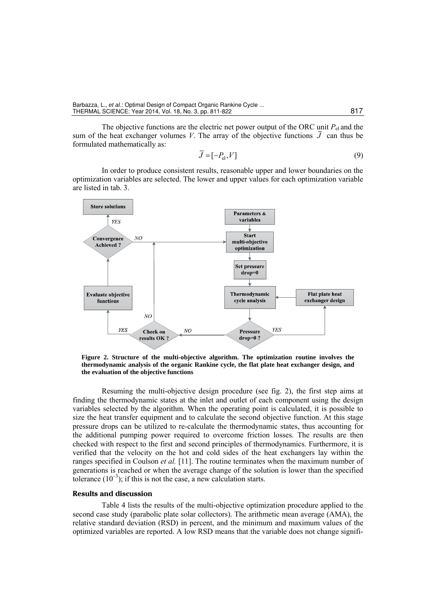The objective functions are the electric net power output of the ORC unit  $P_{el}$  and the sum of the heat exchanger volumes *V*. The array of the objective functions  $\overline{J}$  can thus be formulated mathematically as:

$$
\overline{J} = [-P_{\text{el}}, V] \tag{9}
$$

In order to produce consistent results, reasonable upper and lower boundaries on the optimization variables are selected. The lower and upper values for each optimization variable are listed in tab. 3.



**Figure 2. Structure of the multi-objective algorithm. The optimization routine involves the thermodynamic analysis of the organic Rankine cycle, the flat plate heat exchanger design, and the evaluation of the objective functions** 

Resuming the multi-objective design procedure (see fig. 2), the first step aims at finding the thermodynamic states at the inlet and outlet of each component using the design variables selected by the algorithm. When the operating point is calculated, it is possible to size the heat transfer equipment and to calculate the second objective function. At this stage pressure drops can be utilized to re-calculate the thermodynamic states, thus accounting for the additional pumping power required to overcome friction losses. The results are then checked with respect to the first and second principles of thermodynamics. Furthermore, it is verified that the velocity on the hot and cold sides of the heat exchangers lay within the ranges specified in Coulson *et al.* [11]. The routine terminates when the maximum number of generations is reached or when the average change of the solution is lower than the specified tolerance  $(10^{-3})$ ; if this is not the case, a new calculation starts.

## **Results and discussion**

Table 4 lists the results of the multi-objective optimization procedure applied to the second case study (parabolic plate solar collectors). The arithmetic mean average (AMA), the relative standard deviation (RSD) in percent, and the minimum and maximum values of the optimized variables are reported. A low RSD means that the variable does not change signifi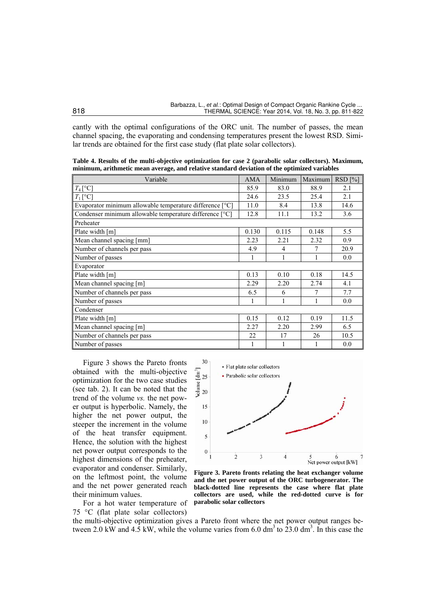cantly with the optimal configurations of the ORC unit. The number of passes, the mean channel spacing, the evaporating and condensing temperatures present the lowest RSD. Similar trends are obtained for the first case study (flat plate solar collectors).

**Table 4. Results of the multi-objective optimization for case 2 (parabolic solar collectors). Maximum, minimum, arithmetic mean average, and relative standard deviation of the optimized variables** 

| Variable                                                   | <b>AMA</b> | Minimum        | Maximum | $RSD$ [%] |
|------------------------------------------------------------|------------|----------------|---------|-----------|
| $T_4$ [°C]                                                 | 85.9       | 83.0           | 88.9    | 2.1       |
| $T_1[^{\circ}C]$                                           | 24.6       | 23.5           | 25.4    | 2.1       |
| Evaporator minimum allowable temperature difference $[°C]$ | 11.0       | 8.4            | 13.8    | 14.6      |
| Condenser minimum allowable temperature difference [°C]    | 12.8       | 11.1           | 13.2    | 3.6       |
| Preheater                                                  |            |                |         |           |
| Plate width [m]                                            | 0.130      | 0.115          | 0.148   | 5.5       |
| Mean channel spacing [mm]                                  | 2.23       | 2.21           | 2.32    | 0.9       |
| Number of channels per pass                                | 4.9        | $\overline{4}$ | 7       | 20.9      |
| Number of passes                                           | 1          | 1              |         | 0.0       |
| Evaporator                                                 |            |                |         |           |
| Plate width [m]                                            | 0.13       | 0.10           | 0.18    | 14.5      |
| Mean channel spacing [m]                                   | 2.29       | 2.20           | 2.74    | 4.1       |
| Number of channels per pass                                | 6.5        | 6              | 7       | 7.7       |
| Number of passes                                           | 1          | 1              | 1       | 0.0       |
| Condenser                                                  |            |                |         |           |
| Plate width [m]                                            | 0.15       | 0.12           | 0.19    | 11.5      |
| Mean channel spacing [m]                                   | 2.27       | 2.20           | 2.99    | 6.5       |
| Number of channels per pass                                | 22         | 17             | 26      | 10.5      |
| Number of passes                                           | 1          |                | 1       | 0.0       |

Figure 3 shows the Pareto fronts obtained with the multi-objective optimization for the two case studies (see tab. 2). It can be noted that the trend of the volume *vs.* the net power output is hyperbolic. Namely, the higher the net power output, the steeper the increment in the volume of the heat transfer equipment. Hence, the solution with the highest net power output corresponds to the highest dimensions of the preheater, evaporator and condenser. Similarly, on the leftmost point, the volume and the net power generated reach their minimum values.

For a hot water temperature of 75 °C (flat plate solar collectors)



**Figure 3. Pareto fronts relating the heat exchanger volume and the net power output of the ORC turbogenerator. The black-dotted line represents the case where flat plate collectors are used, while the red-dotted curve is for parabolic solar collectors** 

the multi-objective optimization gives a Pareto front where the net power output ranges between 2.0 kW and 4.5 kW, while the volume varies from 6.0 dm<sup>3</sup> to 23.0 dm<sup>3</sup>. In this case the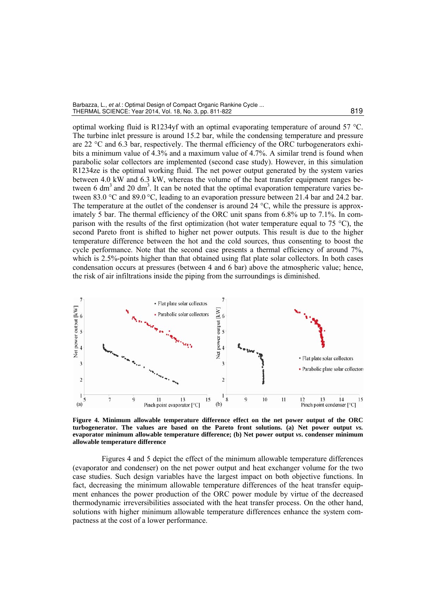| Barbazza, L., <i>et al.</i> : Optimal Design of Compact Organic Rankine Cycle |     |
|-------------------------------------------------------------------------------|-----|
| THERMAL SCIENCE: Year 2014, Vol. 18, No. 3, pp. 811-822                       | 819 |

optimal working fluid is R1234yf with an optimal evaporating temperature of around 57 °C. The turbine inlet pressure is around 15.2 bar, while the condensing temperature and pressure are 22 °C and 6.3 bar, respectively. The thermal efficiency of the ORC turbogenerators exhibits a minimum value of 4.3% and a maximum value of 4.7%. A similar trend is found when parabolic solar collectors are implemented (second case study). However, in this simulation R1234ze is the optimal working fluid. The net power output generated by the system varies between 4.0 kW and 6.3 kW, whereas the volume of the heat transfer equipment ranges between 6 dm<sup>3</sup> and 20 dm<sup>3</sup>. It can be noted that the optimal evaporation temperature varies between 83.0 °C and 89.0 °C, leading to an evaporation pressure between 21.4 bar and 24.2 bar. The temperature at the outlet of the condenser is around  $24 \degree C$ , while the pressure is approximately 5 bar. The thermal efficiency of the ORC unit spans from 6.8% up to 7.1%. In comparison with the results of the first optimization (hot water temperature equal to 75  $^{\circ}$ C), the second Pareto front is shifted to higher net power outputs. This result is due to the higher temperature difference between the hot and the cold sources, thus consenting to boost the cycle performance. Note that the second case presents a thermal efficiency of around 7%, which is 2.5%-points higher than that obtained using flat plate solar collectors. In both cases condensation occurs at pressures (between 4 and 6 bar) above the atmospheric value; hence, the risk of air infiltrations inside the piping from the surroundings is diminished.



**Figure 4. Minimum allowable temperature difference effect on the net power output of the ORC turbogenerator. The values are based on the Pareto front solutions. (a) Net power output** *vs.* **evaporator minimum allowable temperature difference; (b) Net power output** *vs***. condenser minimum allowable temperature difference** 

Figures 4 and 5 depict the effect of the minimum allowable temperature differences (evaporator and condenser) on the net power output and heat exchanger volume for the two case studies. Such design variables have the largest impact on both objective functions. In fact, decreasing the minimum allowable temperature differences of the heat transfer equipment enhances the power production of the ORC power module by virtue of the decreased thermodynamic irreversibilities associated with the heat transfer process. On the other hand, solutions with higher minimum allowable temperature differences enhance the system compactness at the cost of a lower performance.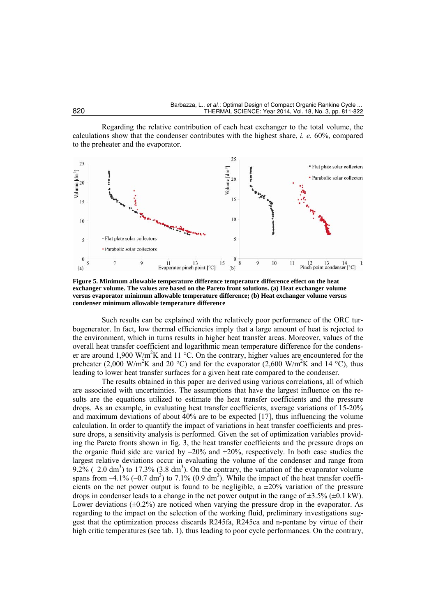Regarding the relative contribution of each heat exchanger to the total volume, the calculations show that the condenser contributes with the highest share, *i. e.* 60%, compared to the preheater and the evaporator.



**Figure 5. Minimum allowable temperature difference temperature difference effect on the heat exchanger volume. The values are based on the Pareto front solutions. (a) Heat exchanger volume versus evaporator minimum allowable temperature difference; (b) Heat exchanger volume versus condenser minimum allowable temperature difference** 

Such results can be explained with the relatively poor performance of the ORC turbogenerator. In fact, low thermal efficiencies imply that a large amount of heat is rejected to the environment, which in turns results in higher heat transfer areas. Moreover, values of the overall heat transfer coefficient and logarithmic mean temperature difference for the condenser are around 1,900 W/m<sup>2</sup>K and 11 °C. On the contrary, higher values are encountered for the preheater (2,000 W/m<sup>2</sup>K and 20 °C) and for the evaporator (2,600 W/m<sup>2</sup>K and 14 °C), thus leading to lower heat transfer surfaces for a given heat rate compared to the condenser.

The results obtained in this paper are derived using various correlations, all of which are associated with uncertainties. The assumptions that have the largest influence on the results are the equations utilized to estimate the heat transfer coefficients and the pressure drops. As an example, in evaluating heat transfer coefficients, average variations of 15-20% and maximum deviations of about 40% are to be expected [17], thus influencing the volume calculation. In order to quantify the impact of variations in heat transfer coefficients and pressure drops, a sensitivity analysis is performed. Given the set of optimization variables providing the Pareto fronts shown in fig. 3, the heat transfer coefficients and the pressure drops on the organic fluid side are varied by  $-20\%$  and  $+20\%$ , respectively. In both case studies the largest relative deviations occur in evaluating the volume of the condenser and range from 9.2%  $(-2.0 \text{ dm}^3)$  to 17.3%  $(3.8 \text{ dm}^3)$ . On the contrary, the variation of the evaporator volume spans from  $-4.1\%$  ( $-0.7 \text{ dm}^3$ ) to  $7.1\%$  (0.9 dm<sup>3</sup>). While the impact of the heat transfer coefficients on the net power output is found to be negligible, a  $\pm 20\%$  variation of the pressure drops in condenser leads to a change in the net power output in the range of  $\pm 3.5\%$  ( $\pm 0.1$  kW). Lower deviations  $(\pm 0.2\%)$  are noticed when varying the pressure drop in the evaporator. As regarding to the impact on the selection of the working fluid, preliminary investigations suggest that the optimization process discards R245fa, R245ca and n-pentane by virtue of their high critic temperatures (see tab. 1), thus leading to poor cycle performances. On the contrary,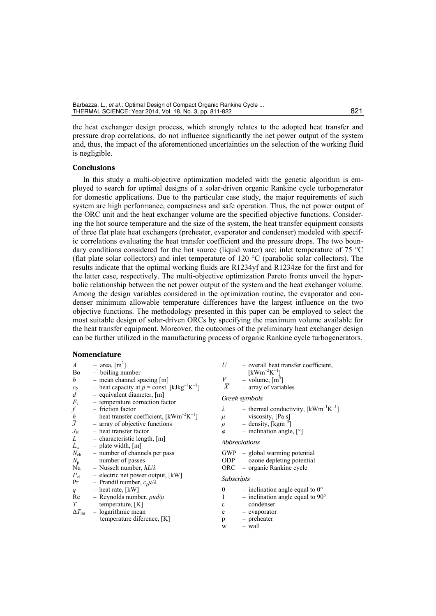the heat exchanger design process, which strongly relates to the adopted heat transfer and pressure drop correlations, do not influence significantly the net power output of the system and, thus, the impact of the aforementioned uncertainties on the selection of the working fluid is negligible.

### **Conclusions**

In this study a multi-objective optimization modeled with the genetic algorithm is employed to search for optimal designs of a solar-driven organic Rankine cycle turbogenerator for domestic applications. Due to the particular case study, the major requirements of such system are high performance, compactness and safe operation. Thus, the net power output of the ORC unit and the heat exchanger volume are the specified objective functions. Considering the hot source temperature and the size of the system, the heat transfer equipment consists of three flat plate heat exchangers (preheater, evaporator and condenser) modeled with specific correlations evaluating the heat transfer coefficient and the pressure drops. The two boundary conditions considered for the hot source (liquid water) are: inlet temperature of 75 °C (flat plate solar collectors) and inlet temperature of 120 °C (parabolic solar collectors). The results indicate that the optimal working fluids are R1234yf and R1234ze for the first and for the latter case, respectively. The multi-objective optimization Pareto fronts unveil the hyperbolic relationship between the net power output of the system and the heat exchanger volume. Among the design variables considered in the optimization routine, the evaporator and condenser minimum allowable temperature differences have the largest influence on the two objective functions. The methodology presented in this paper can be employed to select the most suitable design of solar-driven ORCs by specifying the maximum volume available for the heat transfer equipment. Moreover, the outcomes of the preliminary heat exchanger design can be further utilized in the manufacturing process of organic Rankine cycle turbogenerators.

#### **Nomenclature**

| $\boldsymbol{A}$        | $-$ area, $\lceil m^2 \rceil$                                         | U                 | - overall heat transfer coefficient,                   |
|-------------------------|-----------------------------------------------------------------------|-------------------|--------------------------------------------------------|
| Bo                      | - boiling number                                                      |                   | $[kWm^{-2}K^{-1}]$                                     |
| b                       | - mean channel spacing [m]                                            | V                 | $-$ volume, $[m^3]$                                    |
| $\mathcal{C}\mathrm{p}$ | - heat capacity at $p =$ const. [kJkg <sup>-1</sup> K <sup>-1</sup> ] | $\bar{X}$         | - array of variables                                   |
| $\boldsymbol{d}$        | $-$ equivalent diameter, $[m]$                                        |                   |                                                        |
| $F_{t}$                 | - temperature correction factor                                       |                   | Greek symbols                                          |
| f                       | - friction factor                                                     | λ                 | - thermal conductivity, $\lceil kWm^{-1}K^{-1} \rceil$ |
|                         | - heat transfer coefficient, $\lceil kWm^{-2}K^{-1} \rceil$           | $\mu$             | - viscosity, [Pa s]                                    |
| $\frac{h}{J}$           | - array of objective functions                                        | $\rho$            | - density, $\lceil \text{kgm}^{-3} \rceil$             |
| $J_{\rm H}$             | - heat transfer factor                                                | $\varphi$         | - inclination angle, $\lceil \circ \rceil$             |
| $\mathcal{L}$           | $-$ characteristic length, $[m]$                                      |                   |                                                        |
| $L_{\rm w}$             | $-$ plate width, [m]                                                  |                   | Abbreviations                                          |
| $N_{\rm ch}$            | - number of channels per pass                                         |                   | $GWP - global warning potential$                       |
| $N_{\rm p}$             | - number of passes                                                    |                   | $ODP - ozone$ <i>depleting potential</i>               |
| Nu                      | - Nusselt number, $hL/\lambda$                                        |                   | ORC – organic Rankine cycle                            |
| $P_{\rm el}$            | $-$ electric net power output, [kW]                                   |                   |                                                        |
| Pr                      | - Prandtl number, $c_p\mu\lambda$                                     | <i>Subscripts</i> |                                                        |
|                         | $-$ heat rate, [kW]                                                   | $\boldsymbol{0}$  | - inclination angle equal to $0^{\circ}$               |
| q<br>Re                 | - Reynolds number, $pud/\mu$                                          |                   |                                                        |
|                         |                                                                       |                   | - inclination angle equal to $90^{\circ}$              |
| T                       | - temperature, $[K]$                                                  | $\mathbf c$       | - condenser                                            |
| $\Delta T_{\rm lm}$     | - logarithmic mean                                                    | e                 | - evaporator                                           |
|                         | temperature diference, [K]                                            | p                 | - preheater                                            |

 $w = w$ all